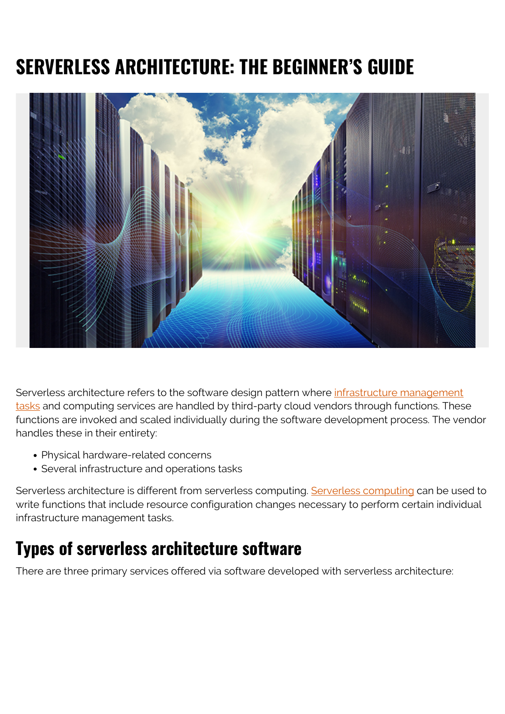# **SERVERLESS ARCHITECTURE: THE BEGINNER'S GUIDE**



Serverless architecture refers to the software design pattern where [infrastructure management](https://blogs.bmc.com/blogs/it-infrastructure-management/) [tasks](https://blogs.bmc.com/blogs/it-infrastructure-management/) and computing services are handled by third-party cloud vendors through functions. These functions are invoked and scaled individually during the software development process. The vendor handles these in their entirety:

- Physical hardware-related concerns
- Several infrastructure and operations tasks

Serverless architecture is different from serverless computing. [Serverless computing](https://blogs.bmc.com/blogs/serverless-computing/) can be used to write functions that include resource configuration changes necessary to perform certain individual infrastructure management tasks.

### **Types of serverless architecture software**

There are three primary services offered via software developed with serverless architecture: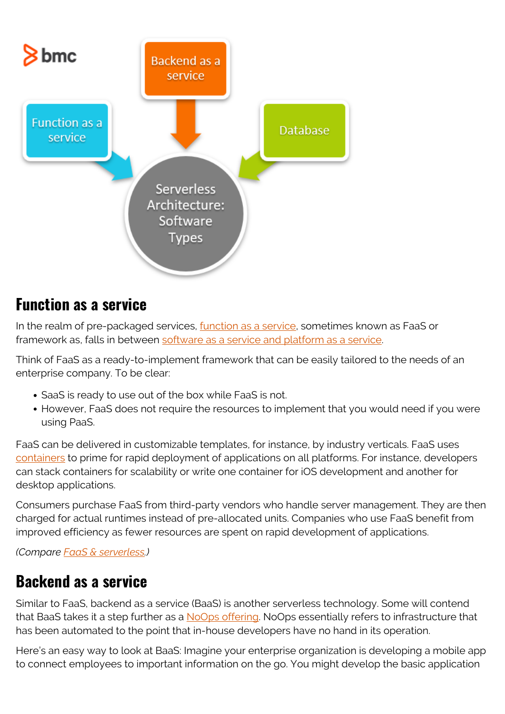

#### **Function as a service**

In the realm of pre-packaged services, *function as a service*, sometimes known as FaaS or framework as, falls in between [software as a service and platform as a service](https://blogs.bmc.com/blogs/saas-vs-paas-vs-iaas-whats-the-difference-and-how-to-choose/).

Think of FaaS as a ready-to-implement framework that can be easily tailored to the needs of an enterprise company. To be clear:

- SaaS is ready to use out of the box while FaaS is not.
- However, FaaS does not require the resources to implement that you would need if you were using PaaS.

FaaS can be delivered in customizable templates, for instance, by industry verticals. FaaS uses [containers](https://blogs.bmc.com/blogs/what-is-a-container-containerization-explained/) to prime for rapid deployment of applications on all platforms. For instance, developers can stack containers for scalability or write one container for iOS development and another for desktop applications.

Consumers purchase FaaS from third-party vendors who handle server management. They are then charged for actual runtimes instead of pre-allocated units. Companies who use FaaS benefit from improved efficiency as fewer resources are spent on rapid development of applications.

*(Compare [FaaS & serverless.](https://blogs.bmc.com/blogs/serverless-faas/))*

### **Backend as a service**

Similar to FaaS, backend as a service (BaaS) is another serverless technology. Some will contend that BaaS takes it a step further as a [NoOps offering](https://blogs.bmc.com/blogs/itops-devops-and-noops-oh-my/). NoOps essentially refers to infrastructure that has been automated to the point that in-house developers have no hand in its operation.

Here's an easy way to look at BaaS: Imagine your enterprise organization is developing a mobile app to connect employees to important information on the go. You might develop the basic application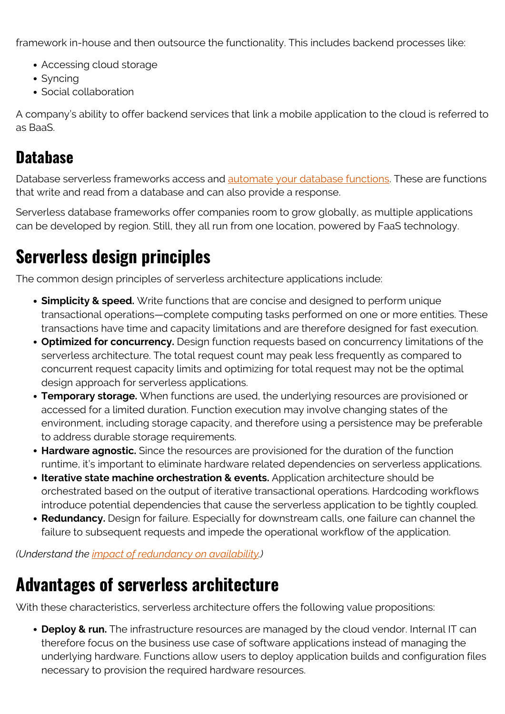framework in-house and then outsource the functionality. This includes backend processes like:

- Accessing cloud storage
- Syncing
- Social collaboration

A company's ability to offer backend services that link a mobile application to the cloud is referred to as BaaS.

#### **Database**

Database serverless frameworks access and [automate your database functions](https://blogs.bmc.com/blogs/database-automation/). These are functions that write and read from a database and can also provide a response.

Serverless database frameworks offer companies room to grow globally, as multiple applications can be developed by region. Still, they all run from one location, powered by FaaS technology.

## **Serverless design principles**

The common design principles of serverless architecture applications include:

- **Simplicity & speed.** Write functions that are concise and designed to perform unique transactional operations—complete computing tasks performed on one or more entities. These transactions have time and capacity limitations and are therefore designed for fast execution.
- **Optimized for concurrency.** Design function requests based on concurrency limitations of the serverless architecture. The total request count may peak less frequently as compared to concurrent request capacity limits and optimizing for total request may not be the optimal design approach for serverless applications.
- **Temporary storage.** When functions are used, the underlying resources are provisioned or accessed for a limited duration. Function execution may involve changing states of the environment, including storage capacity, and therefore using a persistence may be preferable to address durable storage requirements.
- **Hardware agnostic.** Since the resources are provisioned for the duration of the function runtime, it's important to eliminate hardware related dependencies on serverless applications.
- **Iterative state machine orchestration & events.** Application architecture should be orchestrated based on the output of iterative transactional operations. Hardcoding workflows introduce potential dependencies that cause the serverless application to be tightly coupled.
- **Redundancy.** Design for failure. Especially for downstream calls, one failure can channel the failure to subsequent requests and impede the operational workflow of the application.

*(Understand the [impact of redundancy on availability](https://blogs.bmc.com/blogs/redundancy-impact-availability/).)*

### **Advantages of serverless architecture**

With these characteristics, serverless architecture offers the following value propositions:

**Deploy & run.** The infrastructure resources are managed by the cloud vendor. Internal IT can therefore focus on the business use case of software applications instead of managing the underlying hardware. Functions allow users to deploy application builds and configuration files necessary to provision the required hardware resources.